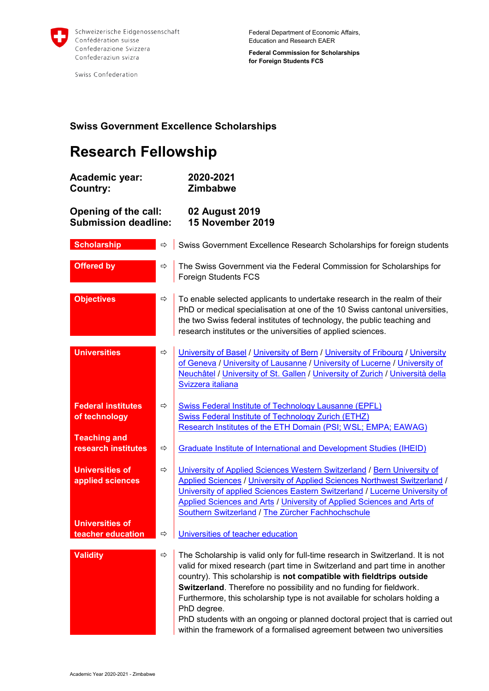

Swiss Confederation

Federal Department of Economic Affairs, Education and Research EAER

**Federal Commission for Scholarships for Foreign Students FCS**

## **Swiss Government Excellence Scholarships**

## **Research Fellowship**

| Academic year:<br>Country:                                           |               | 2020-2021<br><b>Zimbabwe</b>                                                                                                                                                                                                                                                                                                                                                                                                                                                                                                                                         |  |
|----------------------------------------------------------------------|---------------|----------------------------------------------------------------------------------------------------------------------------------------------------------------------------------------------------------------------------------------------------------------------------------------------------------------------------------------------------------------------------------------------------------------------------------------------------------------------------------------------------------------------------------------------------------------------|--|
| <b>Opening of the call:</b><br><b>Submission deadline:</b>           |               | 02 August 2019<br>15 November 2019                                                                                                                                                                                                                                                                                                                                                                                                                                                                                                                                   |  |
| <b>Scholarship</b>                                                   | $\Rightarrow$ | Swiss Government Excellence Research Scholarships for foreign students                                                                                                                                                                                                                                                                                                                                                                                                                                                                                               |  |
| <b>Offered by</b>                                                    | $\Rightarrow$ | The Swiss Government via the Federal Commission for Scholarships for<br><b>Foreign Students FCS</b>                                                                                                                                                                                                                                                                                                                                                                                                                                                                  |  |
| <b>Objectives</b>                                                    | $\Rightarrow$ | To enable selected applicants to undertake research in the realm of their<br>PhD or medical specialisation at one of the 10 Swiss cantonal universities,<br>the two Swiss federal institutes of technology, the public teaching and<br>research institutes or the universities of applied sciences.                                                                                                                                                                                                                                                                  |  |
| <b>Universities</b>                                                  | $\Rightarrow$ | University of Basel / University of Bern / University of Fribourg / University<br>of Geneva / University of Lausanne / University of Lucerne / University of<br>Neuchâtel / University of St. Gallen / University of Zurich / Università della<br>Svizzera italiana                                                                                                                                                                                                                                                                                                  |  |
| <b>Federal institutes</b><br>of technology                           | $\Rightarrow$ | Swiss Federal Institute of Technology Lausanne (EPFL)<br>Swiss Federal Institute of Technology Zurich (ETHZ)<br>Research Institutes of the ETH Domain (PSI; WSL; EMPA; EAWAG)                                                                                                                                                                                                                                                                                                                                                                                        |  |
| <b>Teaching and</b><br>research institutes                           | ⇨             | <b>Graduate Institute of International and Development Studies (IHEID)</b>                                                                                                                                                                                                                                                                                                                                                                                                                                                                                           |  |
| <b>Universities of</b><br>applied sciences<br><b>Universities of</b> | $\Rightarrow$ | University of Applied Sciences Western Switzerland / Bern University of<br>Applied Sciences / University of Applied Sciences Northwest Switzerland /<br>University of applied Sciences Eastern Switzerland / Lucerne University of<br>Applied Sciences and Arts / University of Applied Sciences and Arts of<br>Southern Switzerland / The Zürcher Fachhochschule                                                                                                                                                                                                    |  |
| teacher education                                                    | ⇨             | Universities of teacher education                                                                                                                                                                                                                                                                                                                                                                                                                                                                                                                                    |  |
| <b>Validity</b>                                                      | $\Rightarrow$ | The Scholarship is valid only for full-time research in Switzerland. It is not<br>valid for mixed research (part time in Switzerland and part time in another<br>country). This scholarship is not compatible with fieldtrips outside<br>Switzerland. Therefore no possibility and no funding for fieldwork.<br>Furthermore, this scholarship type is not available for scholars holding a<br>PhD degree.<br>PhD students with an ongoing or planned doctoral project that is carried out<br>within the framework of a formalised agreement between two universities |  |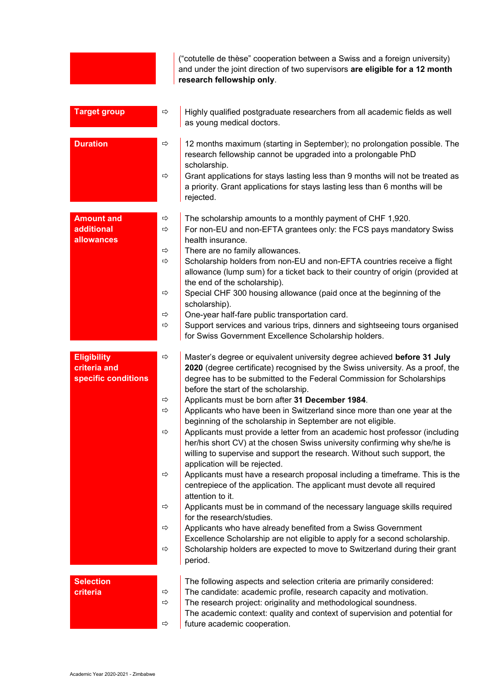("cotutelle de thèse" cooperation between a Swiss and a foreign university) and under the joint direction of two supervisors **are eligible for a 12 month research fellowship only**.

| <b>Target group</b> | $\Rightarrow$ | Highly qualified postgraduate researchers from all academic fields as well<br>as young medical doctors.                                                                                   |
|---------------------|---------------|-------------------------------------------------------------------------------------------------------------------------------------------------------------------------------------------|
| <b>Duration</b>     | ⇨             | 12 months maximum (starting in September); no prolongation possible. The<br>research fellowship cannot be upgraded into a prolongable PhD<br>scholarship.                                 |
|                     | $\Rightarrow$ | Grant applications for stays lasting less than 9 months will not be treated as<br>a priority. Grant applications for stays lasting less than 6 months will be<br>rejected.                |
| <b>Amount and</b>   | ⇨             | The scholarship amounts to a monthly payment of CHF 1,920.                                                                                                                                |
| additional          | ⇨             | For non-EU and non-EFTA grantees only: the FCS pays mandatory Swiss                                                                                                                       |
| allowances          |               | health insurance.                                                                                                                                                                         |
|                     | ⇨             | There are no family allowances.                                                                                                                                                           |
|                     | ⇨             | Scholarship holders from non-EU and non-EFTA countries receive a flight<br>allowance (lump sum) for a ticket back to their country of origin (provided at<br>the end of the scholarship). |
|                     | ⇨             | Special CHF 300 housing allowance (paid once at the beginning of the                                                                                                                      |
|                     |               | scholarship).                                                                                                                                                                             |
|                     | ⇨             | One-year half-fare public transportation card.                                                                                                                                            |
|                     | ⇨             | Support services and various trips, dinners and sightseeing tours organised                                                                                                               |
|                     |               | for Swiss Government Excellence Scholarship holders.                                                                                                                                      |
|                     |               |                                                                                                                                                                                           |
| <b>Eligibility</b>  | ⇨             | Master's degree or equivalent university degree achieved before 31 July                                                                                                                   |
| criteria and        |               | 2020 (degree certificate) recognised by the Swiss university. As a proof, the                                                                                                             |
| specific conditions |               | degree has to be submitted to the Federal Commission for Scholarships                                                                                                                     |
|                     | ⇨             | before the start of the scholarship.<br>Applicants must be born after 31 December 1984.                                                                                                   |
|                     | ⇨             | Applicants who have been in Switzerland since more than one year at the                                                                                                                   |
|                     |               | beginning of the scholarship in September are not eligible.                                                                                                                               |
|                     | ⇨             | Applicants must provide a letter from an academic host professor (including                                                                                                               |
|                     |               | her/his short CV) at the chosen Swiss university confirming why she/he is                                                                                                                 |
|                     |               | willing to supervise and support the research. Without such support, the                                                                                                                  |
|                     |               | application will be rejected.                                                                                                                                                             |
|                     | ⇨             | Applicants must have a research proposal including a timeframe. This is the                                                                                                               |
|                     |               | centrepiece of the application. The applicant must devote all required                                                                                                                    |
|                     |               | attention to it.                                                                                                                                                                          |
|                     | ⇨             | Applicants must be in command of the necessary language skills required                                                                                                                   |
|                     |               | for the research/studies.                                                                                                                                                                 |
|                     | ⇨             | Applicants who have already benefited from a Swiss Government                                                                                                                             |
|                     |               | Excellence Scholarship are not eligible to apply for a second scholarship.                                                                                                                |
|                     | ⇨             | Scholarship holders are expected to move to Switzerland during their grant                                                                                                                |
|                     |               | period.                                                                                                                                                                                   |
| <b>Selection</b>    |               | The following aspects and selection criteria are primarily considered:                                                                                                                    |
| criteria            | ⇨             | The candidate: academic profile, research capacity and motivation.                                                                                                                        |
|                     | ⇨             | The research project: originality and methodological soundness.                                                                                                                           |
|                     |               | The academic context: quality and context of supervision and potential for                                                                                                                |
|                     | ⇨             | future academic cooperation.                                                                                                                                                              |
|                     |               |                                                                                                                                                                                           |